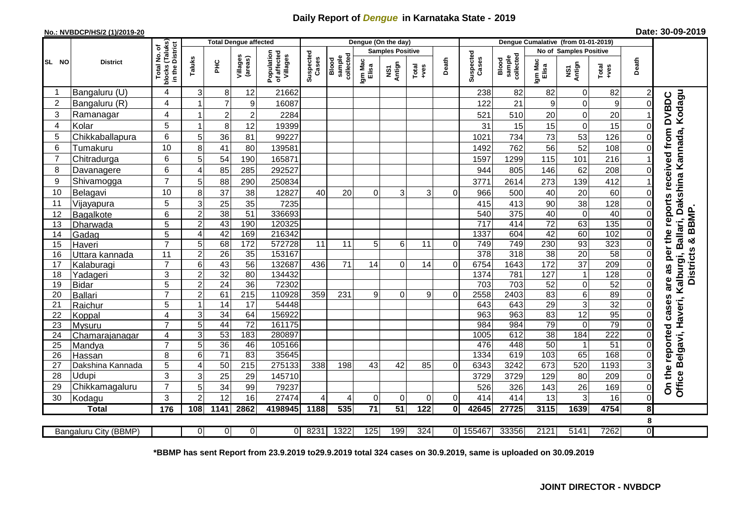## **Daily Report of** *Dengue* **in Karnataka State - 2019**

## **No.: NVBDCP/HS/2 (1)/2019-20 Date: 30-09-2019**

|                |                       |                             |                         |                 | <b>Total Dengue affected</b> |                                       |                    |                              |                  | Dengue (On the day)     |                  |       |                    |                              |                  |                        |                 |             |                                                                                 |
|----------------|-----------------------|-----------------------------|-------------------------|-----------------|------------------------------|---------------------------------------|--------------------|------------------------------|------------------|-------------------------|------------------|-------|--------------------|------------------------------|------------------|------------------------|-----------------|-------------|---------------------------------------------------------------------------------|
|                |                       | i (Taluks)<br>District<br>৳ |                         |                 |                              |                                       |                    |                              |                  | <b>Samples Positive</b> |                  |       |                    |                              |                  | No of Samples Positive |                 |             |                                                                                 |
| SL NO          | <b>District</b>       | Total No.<br>blocks         | Taluks                  | ΞÉ              | Villages<br>(areas)          | Population<br>of affected<br>Villages | Suspected<br>Cases | collected<br>sample<br>Blood | Igm Mac<br>Elisa | Antign<br>ΝŠ1           | Total<br>+ves    | Death | Suspected<br>Cases | collected<br>sample<br>Blood | Igm Mac<br>Elisa | Antign<br>Σń           | Total<br>$+ves$ | Death       |                                                                                 |
| -1             | Bangaluru (U)         | 4                           | 3                       | 8               | 12                           | 21662                                 |                    |                              |                  |                         |                  |       | 238                | 82                           | 82               | $\mathbf 0$            | 82              | 2           |                                                                                 |
| $\overline{2}$ | Bangaluru (R)         | 4                           | 1                       | $\overline{7}$  | $\boldsymbol{9}$             | 16087                                 |                    |                              |                  |                         |                  |       | 122                | 21                           | 9                | $\mathbf 0$            | 9               | 0           |                                                                                 |
| 3              | Ramanagar             | 4                           | 1                       | $\overline{2}$  | $\overline{c}$               | 2284                                  |                    |                              |                  |                         |                  |       | 521                | 510                          | 20               | $\overline{0}$         | 20              |             | Kodagu<br>as per the reports received from DVBDC                                |
| $\overline{4}$ | Kolar                 | 5                           | 1                       | 8               | 12                           | 19399                                 |                    |                              |                  |                         |                  |       | 31                 | 15                           | 15               | $\mathbf 0$            | 15              | 0           |                                                                                 |
| 5              | Chikkaballapura       | 6                           | 5                       | 36              | 81                           | 99227                                 |                    |                              |                  |                         |                  |       | 1021               | 734                          | 73               | 53                     | 126             | 0           |                                                                                 |
| 6              | Tumakuru              | 10                          | 8                       | 41              | 80                           | 139581                                |                    |                              |                  |                         |                  |       | 1492               | 762                          | 56               | 52                     | 108             |             |                                                                                 |
| 7              | Chitradurga           | 6                           | 5                       | 54              | 190                          | 165871                                |                    |                              |                  |                         |                  |       | 1597               | 1299                         | 115              | 101                    | 216             |             |                                                                                 |
| 8              | Davanagere            | 6                           | $\overline{4}$          | 85              | 285                          | 292527                                |                    |                              |                  |                         |                  |       | 944                | 805                          | 146              | 62                     | 208             | $\Omega$    |                                                                                 |
| 9              | Shivamogga            | $\overline{7}$              | 5                       | 88              | 290                          | 250834                                |                    |                              |                  |                         |                  |       | 3771               | 2614                         | 273              | 139                    | 412             |             |                                                                                 |
| 10             | Belagavi              | 10                          | 8                       | $\overline{37}$ | 38                           | 12827                                 | 40                 | 20                           | $\Omega$         | 3                       | 3                | 0     | 966                | 500                          | 40               | 20                     | 60              | 0           |                                                                                 |
| 11             | Vijayapura            | 5                           | 3                       | 25              | 35                           | 7235                                  |                    |                              |                  |                         |                  |       | 415                | 413                          | 90               | 38                     | 128             | 0           |                                                                                 |
| 12             | Bagalkote             | 6                           | $\overline{2}$          | 38              | $\overline{51}$              | 336693                                |                    |                              |                  |                         |                  |       | 540                | $\overline{375}$             | 40               | $\mathbf 0$            | 40              | 0           | <b>BBMP</b>                                                                     |
| 13             | Dharwada              | $\overline{5}$              | $\overline{2}$          | 43              | 190                          | 120325                                |                    |                              |                  |                         |                  |       | $\overline{717}$   | 414                          | $\overline{72}$  | 63                     | 135             | $\mathbf 0$ |                                                                                 |
| 14             | Gadag                 | 5                           | $\overline{4}$          | 42              | 169                          | 216342                                |                    |                              |                  |                         |                  |       | 1337               | 604                          | 42               | 60                     | 102             | $\mathbf 0$ |                                                                                 |
| 15             | Haveri                | $\overline{7}$              | 5                       | 68              | 172                          | 572728                                | 11                 | 11                           | 5                | 6                       | 11               | 0     | 749                | 749                          | 230              | 93                     | 323             | 0           | ×ŏ<br>ဖာ                                                                        |
| 16             | Uttara kannada        | 11                          | $\overline{2}$          | $\overline{26}$ | 35                           | 153167                                |                    |                              |                  |                         |                  |       | 378                | $\overline{318}$             | 38               | $\overline{20}$        | 58              | 0           |                                                                                 |
| 17             | Kalaburagi            | $\overline{7}$              | $6\phantom{1}6$         | 43              | 56                           | 132687                                | 436                | 71                           | 14               | 0                       | 14               | 0     | 6754               | 1643                         | 172              | $\overline{37}$        | 209             | 0           | <b>District</b>                                                                 |
| 18             | Yadageri              | 3                           | $\overline{2}$          | 32              | $\overline{80}$              | 134432                                |                    |                              |                  |                         |                  |       | 1374               | 781                          | 127              | $\mathbf 1$            | 128             |             |                                                                                 |
| 19             | Bidar                 | 5                           | $\overline{2}$          | 24              | 36                           | 72302                                 |                    |                              |                  |                         |                  |       | 703                | 703                          | 52               | $\pmb{0}$              | 52              | 0           | are                                                                             |
| 20             | Ballari               | $\overline{7}$              | $\overline{\mathbf{c}}$ | 61              | $\overline{215}$             | 110928                                | 359                | 231                          | 9                | 0                       | 9                | 01    | 2558               | 2403                         | 83               | 6                      | 89              | 0           |                                                                                 |
| 21             | Raichur               | 5                           | $\mathbf{1}$            | 14              | 17                           | 54448                                 |                    |                              |                  |                         |                  |       | 643                | 643                          | 29               | $\mathbf{3}$           | 32              | 0           | cases                                                                           |
| 22             | Koppal                | $\overline{4}$              | 3                       | 34              | 64                           | 156922                                |                    |                              |                  |                         |                  |       | 963                | 963                          | 83               | 12                     | 95              | 0           |                                                                                 |
| 23             | Mysuru                | $\overline{7}$              | $\overline{5}$          | 44              | $\overline{72}$              | 161175                                |                    |                              |                  |                         |                  |       | 984                | 984                          | 79               | $\mathbf 0$            | 79              | 0           |                                                                                 |
| 24             | Chamarajanagar        | 4                           | 3                       | 53              | 183                          | 280897                                |                    |                              |                  |                         |                  |       | 1005               | 612                          | 38               | 184                    | 222             | 0           |                                                                                 |
| 25             | Mandya                | $\overline{7}$              | 5                       | 36              | 46                           | 105166                                |                    |                              |                  |                         |                  |       | 476                | 448                          | $\overline{50}$  | $\blacktriangleleft$   | $\overline{51}$ | 0           |                                                                                 |
| 26             | Hassan                | 8                           | 6                       | $\overline{71}$ | 83                           | 35645                                 |                    |                              |                  |                         |                  |       | 1334               | 619                          | 103              | 65                     | 168             | 0           |                                                                                 |
| 27             | Dakshina Kannada      | 5                           | $\overline{4}$          | 50              | $\overline{215}$             | 275133                                | 338                | 198                          | 43               | 42                      | 85               | 0     | 6343               | 3242                         | 673              | 520                    | 1193            | 3           |                                                                                 |
| 28             | Udupi                 | 3                           | 3                       | 25              | 29                           | 145710                                |                    |                              |                  |                         |                  |       | 3729               | 3729                         | 129              | 80                     | 209             | $\Omega$    | Office Belgavi, Haveri, Kalburgi, Ballari, Dakshina Kannada,<br>On the reported |
| 29             | Chikkamagaluru        | $\overline{7}$              | 5                       | 34              | 99                           | 79237                                 |                    |                              |                  |                         |                  |       | 526                | 326                          | 143              | 26                     | 169             | 0           |                                                                                 |
| 30             | Kodagu                | 3                           | $\overline{2}$          | 12              | 16                           | 27474                                 | $\Delta$           | 4                            | $\Omega$         | 0                       | 0                | 0     | 414                | 414                          | 13               | 3                      | 16              | $\mathbf 0$ |                                                                                 |
|                | <b>Total</b>          | 176                         | 108                     | 1141            | 2862                         | 4198945                               | 1188               | 535                          | $\overline{71}$  | $\overline{51}$         | 122              | Οl    | 42645              | 27725                        | 3115             | 1639                   | 4754            | 8           |                                                                                 |
|                |                       |                             |                         |                 |                              |                                       |                    |                              |                  |                         |                  |       |                    |                              |                  |                        |                 | 8           |                                                                                 |
|                | Bangaluru City (BBMP) |                             | $\Omega$                | $\Omega$        | $\overline{0}$               | $\Omega$                              | 8231               | 1322                         | 125              | 199                     | $\overline{324}$ | 01    | 155467             | 33356                        | 2121             | 5141                   | 7262            | Ō           |                                                                                 |

**\*BBMP has sent Report from 23.9.2019 to29.9.2019 total 324 cases on 30.9.2019, same is uploaded on 30.09.2019**

## **JOINT DIRECTOR - NVBDCP**